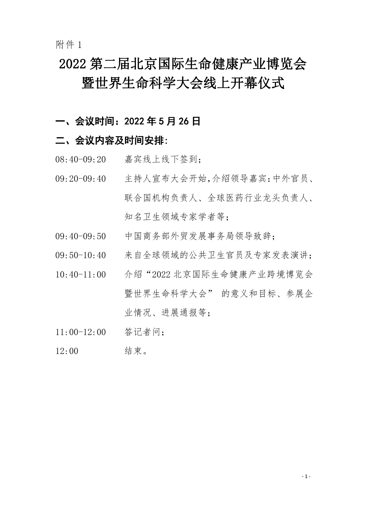附件 1

## 2022 第二届北京国际生命健康产业博览会 暨世界生命科学大会线上开幕仪式

### 一、会议时间:2022 年 5 月 26 日

#### 二、会议内容及时间安排:

- 08:40-09:20 嘉宾线上线下签到;
- 09:20-09:40 主持人宣布大会开始,介绍领导嘉宾:中外官员、 联合国机构负责人、全球医药行业龙头负责人、 知名卫生领域专家学者等;
- 09:40-09:50 中国商务部外贸发展事务局领导致辞;
- 09:50-10:40 来自全球领域的公共卫生官员及专家发表演讲;
- 10:40-11:00 介绍"2022 北京国际生命健康产业跨境博览会 暨世界生命科学大会" 的意义和目标、参展企 业情况、进展通报等;
- 11:00-12:00 答记者问;
- 12:00 结束。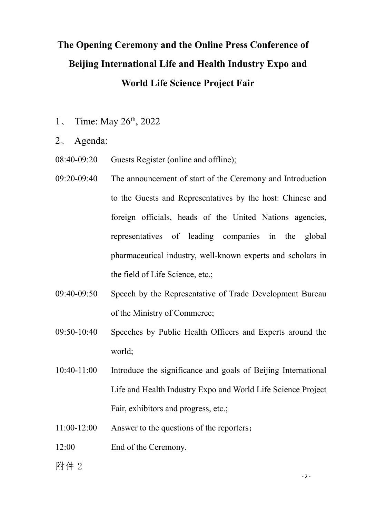## **The Opening Ceremony and the Online Press Conference of Beijing International Life and Health Industry Expo and World Life Science Project Fair**

- 1, Time: May 26<sup>th</sup>, 2022
- 2、 Agenda:
- 08:40-09:20 Guests Register (online and offline);
- 09:20-09:40 The announcement of start of the Ceremony and Introduction to the Guests and Representatives by the host: Chinese and foreign officials, heads of the United Nations agencies, representatives of leading companies in the global pharmaceutical industry, well-known experts and scholars in the field of Life Science, etc.;
- 09:40-09:50 Speech by the Representative of Trade Development Bureau of the Ministry of Commerce;
- 09:50-10:40 Speeches by Public Health Officers and Experts around the world;
- 10:40-11:00 Introduce the significance and goals of Beijing International Life and Health Industry Expo and World Life Science Project Fair, exhibitors and progress, etc.;
- $11:00-12:00$  Answer to the questions of the reporters;
- 12:00 End of the Ceremony.
- 附件 2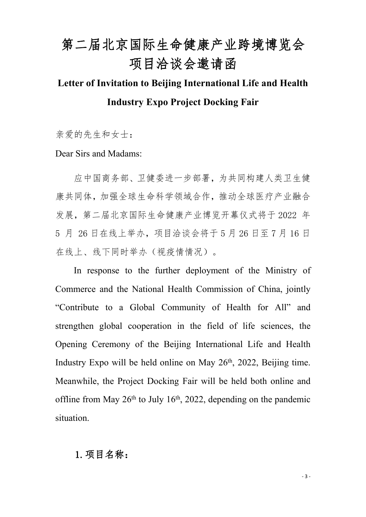# 第二届北京国际生命健康产业跨境博览会 项目洽谈会邀请函

## **Letter of Invitation to Beijing International Life and Health Industry Expo Project Docking Fair**

亲爱的先生和女士:

Dear Sirs and Madams:

应中国商务部、卫健委进一步部署,为共同构建人类卫生健 康共同体,加强全球生命科学领域合作,推动全球医疗产业融合 发展,第二届北京国际生命健康产业博览开幕仪式将于 2022 年 5 月 26 日在线上举办,项目洽谈会将于 5 月 26 日至 7 月 16 日 在线上、线下同时举办(视疫情情况)。

In response to the further deployment of the Ministry of Commerce and the National Health Commission of China, jointly "Contribute to a Global Community of Health for All" and strengthen global cooperation in the field of life sciences, the Opening Ceremony of the Beijing International Life and Health Industry Expo will be held online on May 26<sup>th</sup>, 2022, Beijing time. Meanwhile, the Project Docking Fair will be held both online and offline from May  $26<sup>th</sup>$  to July 16<sup>th</sup>, 2022, depending on the pandemic situation.

#### 1.项目名称: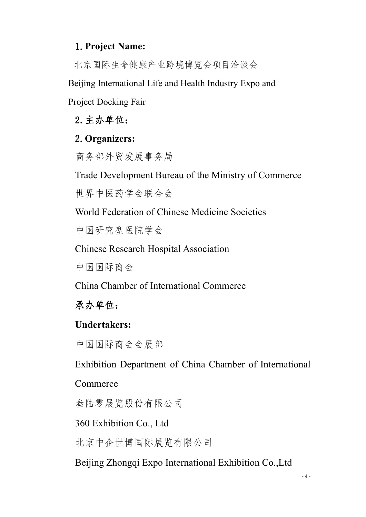### 1.**Project Name:**

北京国际生命健康产业跨境博览会项目洽谈会

Beijing International Life and Health Industry Expo and

Project Docking Fair

2.主办单位:

### 2.**Organizers:**

商务部外贸发展事务局

Trade Development Bureau of the Ministry of Commerce

世界中医药学会联合会

World Federation of Chinese Medicine Societies

中国研究型医院学会

Chinese Research Hospital Association

中国国际商会

China Chamber of International Commerce

承办单位:

### **Undertakers:**

中国国际商会会展部

Exhibition Department of China Chamber of International

#### Commerce

叁陆零展览股份有限公司

360 Exhibition Co., Ltd

北京中企世博国际展览有限公司

Beijing Zhongqi Expo International Exhibition Co.,Ltd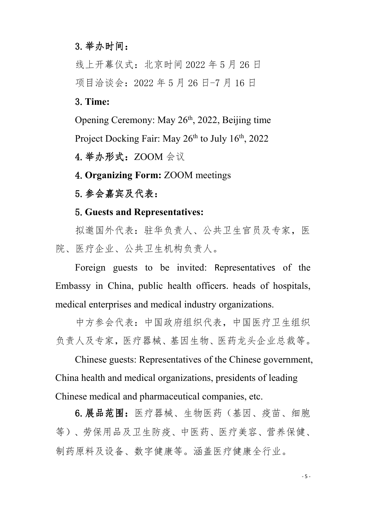#### 3.举办时间:

线上开幕仪式:北京时间 2022 年 5 月 26 日 项目洽谈会:2022 年 5 月 26 日-7 月 16 日

3.**Time:**

Opening Ceremony: May 26<sup>th</sup>, 2022, Beijing time Project Docking Fair: May 26<sup>th</sup> to July 16<sup>th</sup>, 2022

4.举办形式:ZOOM 会议

4.**Organizing Form:** ZOOM meetings

5.参会嘉宾及代表:

#### 5.**Guests and Representatives:**

拟邀国外代表: 驻华负责人、公共卫生官员及专家, 医 院、医疗企业、公共卫生机构负责人。

Foreign guests to be invited: Representatives of the Embassy in China, public health officers. heads of hospitals, medical enterprises and medical industry organizations.

中方参会代表:中国政府组织代表,中国医疗卫生组织 负责人及专家,医疗器械、基因生物、医药龙头企业总裁等。

Chinese guests: Representatives of the Chinese government, China health and medical organizations, presidents of leading Chinese medical and pharmaceutical companies, etc.

6.展品范围:医疗器械、生物医药(基因、疫苗、细胞 等)、劳保用品及卫生防疫、中医药、医疗美容、营养保健、 制药原料及设备、数字健康等。涵盖医疗健康全行业。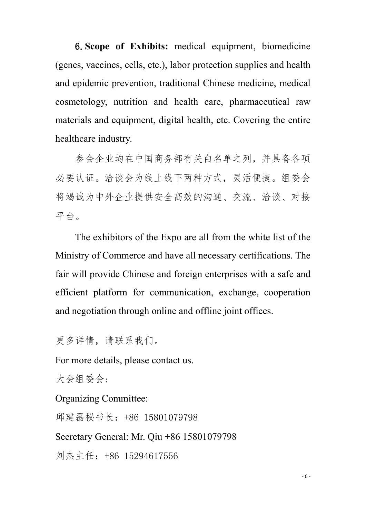6.**Scope of Exhibits:** medical equipment, biomedicine (genes, vaccines, cells, etc.), labor protection supplies and health and epidemic prevention, traditional Chinese medicine, medical cosmetology, nutrition and health care, pharmaceutical raw materials and equipment, digital health, etc. Covering the entire healthcare industry.

参会企业均在中国商务部有关白名单之列,并具备各项 必要认证。洽谈会为线上线下两种方式,灵活便捷。组委会 将竭诚为中外企业提供安全高效的沟通、交流、洽谈、对接 平台。

The exhibitors of the Expo are all from the white list of the Ministry of Commerce and have all necessary certifications. The fair will provide Chinese and foreign enterprises with a safe and efficient platform for communication, exchange, cooperation and negotiation through online and offline joint offices.

更多详情,请联系我们。

For more details, please contact us.

大会组委会:

Organizing Committee:

邱建磊秘书长:+86 15801079798

Secretary General: Mr. Qiu +86 15801079798

刘杰主任:+86 15294617556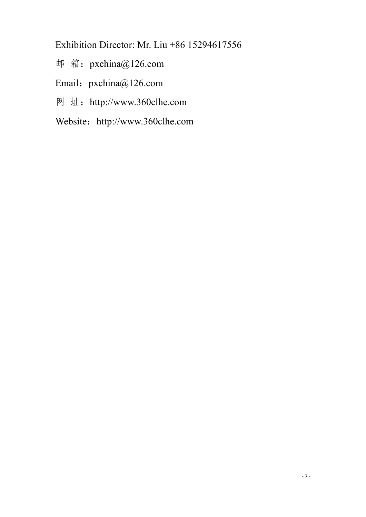Exhibition Director: Mr. Liu +86 15294617556

- 邮 箱:pxchina@126.com
- Email: pxchina@126.com
- 网 址:http://www.360clhe.com
- Website: http://www.360clhe.com